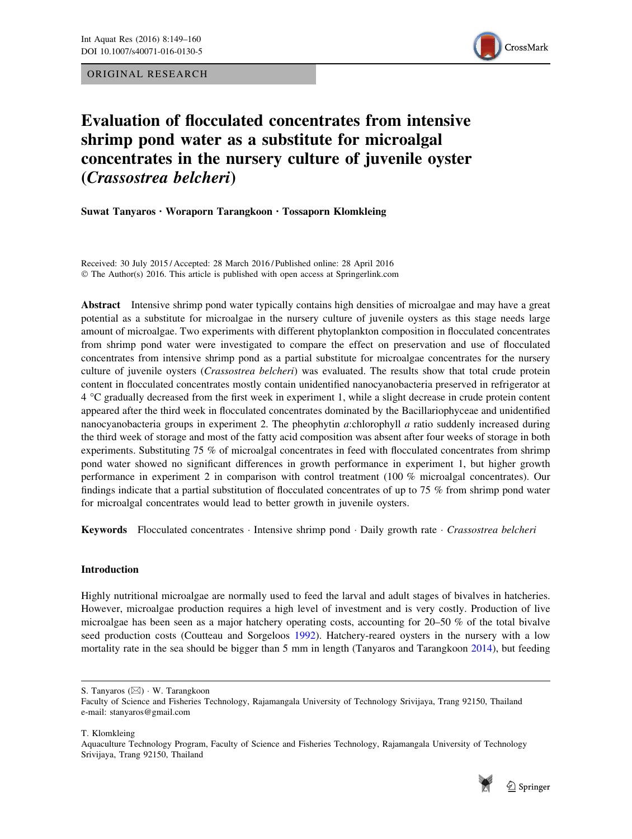ORIGINAL RESEARCH



# Evaluation of flocculated concentrates from intensive shrimp pond water as a substitute for microalgal concentrates in the nursery culture of juvenile oyster (Crassostrea belcheri)

Suwat Tanyaros . Woraporn Tarangkoon . Tossaporn Klomkleing

Received: 30 July 2015 / Accepted: 28 March 2016 / Published online: 28 April 2016 © The Author(s) 2016. This article is published with open access at Springerlink.com

Abstract Intensive shrimp pond water typically contains high densities of microalgae and may have a great potential as a substitute for microalgae in the nursery culture of juvenile oysters as this stage needs large amount of microalgae. Two experiments with different phytoplankton composition in flocculated concentrates from shrimp pond water were investigated to compare the effect on preservation and use of flocculated concentrates from intensive shrimp pond as a partial substitute for microalgae concentrates for the nursery culture of juvenile oysters (Crassostrea belcheri) was evaluated. The results show that total crude protein content in flocculated concentrates mostly contain unidentified nanocyanobacteria preserved in refrigerator at 4 C gradually decreased from the first week in experiment 1, while a slight decrease in crude protein content appeared after the third week in flocculated concentrates dominated by the Bacillariophyceae and unidentified nanocyanobacteria groups in experiment 2. The pheophytin a:chlorophyll a ratio suddenly increased during the third week of storage and most of the fatty acid composition was absent after four weeks of storage in both experiments. Substituting 75 % of microalgal concentrates in feed with flocculated concentrates from shrimp pond water showed no significant differences in growth performance in experiment 1, but higher growth performance in experiment 2 in comparison with control treatment (100 % microalgal concentrates). Our findings indicate that a partial substitution of flocculated concentrates of up to 75 % from shrimp pond water for microalgal concentrates would lead to better growth in juvenile oysters.

Keywords Flocculated concentrates · Intensive shrimp pond · Daily growth rate · Crassostrea belcheri

## Introduction

Highly nutritional microalgae are normally used to feed the larval and adult stages of bivalves in hatcheries. However, microalgae production requires a high level of investment and is very costly. Production of live microalgae has been seen as a major hatchery operating costs, accounting for 20–50 % of the total bivalve seed production costs (Coutteau and Sorgeloos [1992\)](#page-10-0). Hatchery-reared oysters in the nursery with a low mortality rate in the sea should be bigger than 5 mm in length (Tanyaros and Tarangkoon [2014](#page-11-0)), but feeding

T. Klomkleing

Aquaculture Technology Program, Faculty of Science and Fisheries Technology, Rajamangala University of Technology Srivijaya, Trang 92150, Thailand



S. Tanyaros (&) - W. Tarangkoon

Faculty of Science and Fisheries Technology, Rajamangala University of Technology Srivijaya, Trang 92150, Thailand e-mail: stanyaros@gmail.com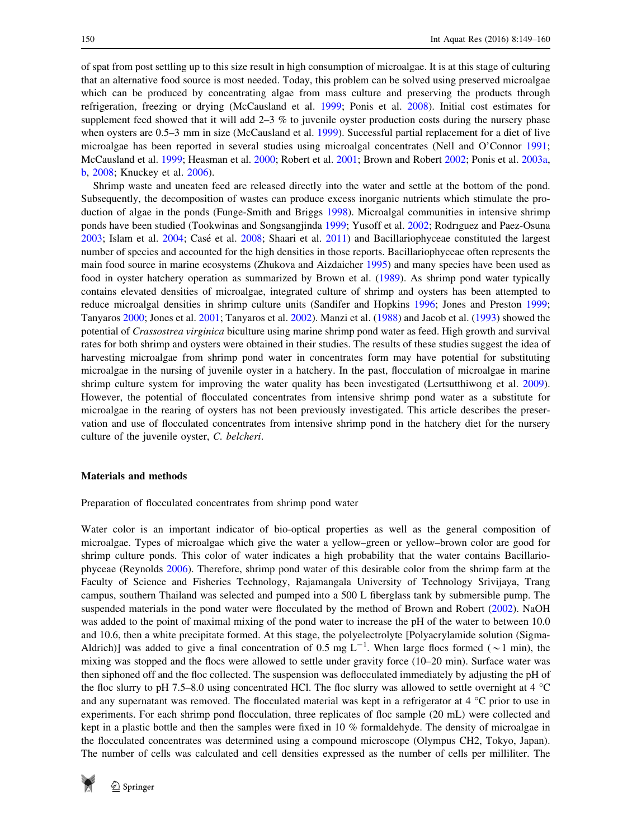of spat from post settling up to this size result in high consumption of microalgae. It is at this stage of culturing that an alternative food source is most needed. Today, this problem can be solved using preserved microalgae which can be produced by concentrating algae from mass culture and preserving the products through refrigeration, freezing or drying (McCausland et al. [1999](#page-11-0); Ponis et al. [2008\)](#page-11-0). Initial cost estimates for supplement feed showed that it will add 2–3 % to juvenile oyster production costs during the nursery phase when oysters are 0.5–3 mm in size (McCausland et al. [1999\)](#page-11-0). Successful partial replacement for a diet of live microalgae has been reported in several studies using microalgal concentrates (Nell and O'Connor [1991;](#page-11-0) McCausland et al. [1999](#page-11-0); Heasman et al. [2000;](#page-10-0) Robert et al. [2001](#page-11-0); Brown and Robert [2002](#page-10-0); Ponis et al. [2003a](#page-11-0), [b,](#page-11-0) [2008](#page-11-0); Knuckey et al. [2006](#page-10-0)).

Shrimp waste and uneaten feed are released directly into the water and settle at the bottom of the pond. Subsequently, the decomposition of wastes can produce excess inorganic nutrients which stimulate the production of algae in the ponds (Funge-Smith and Briggs [1998\)](#page-10-0). Microalgal communities in intensive shrimp ponds have been studied (Tookwinas and Songsangjinda [1999](#page-11-0); Yusoff et al. [2002](#page-11-0); Rodrıguez and Paez-Osuna [2003](#page-11-0); Islam et al. [2004](#page-10-0); Casé et al. [2008](#page-10-0); Shaari et al. [2011](#page-11-0)) and Bacillariophyceae constituted the largest number of species and accounted for the high densities in those reports. Bacillariophyceae often represents the main food source in marine ecosystems (Zhukova and Aizdaicher [1995](#page-11-0)) and many species have been used as food in oyster hatchery operation as summarized by Brown et al. [\(1989](#page-10-0)). As shrimp pond water typically contains elevated densities of microalgae, integrated culture of shrimp and oysters has been attempted to reduce microalgal densities in shrimp culture units (Sandifer and Hopkins [1996](#page-11-0); Jones and Preston [1999;](#page-10-0) Tanyaros [2000](#page-11-0); Jones et al. [2001](#page-10-0); Tanyaros et al. [2002](#page-11-0)). Manzi et al. [\(1988](#page-11-0)) and Jacob et al. ([1993\)](#page-10-0) showed the potential of Crassostrea virginica biculture using marine shrimp pond water as feed. High growth and survival rates for both shrimp and oysters were obtained in their studies. The results of these studies suggest the idea of harvesting microalgae from shrimp pond water in concentrates form may have potential for substituting microalgae in the nursing of juvenile oyster in a hatchery. In the past, flocculation of microalgae in marine shrimp culture system for improving the water quality has been investigated (Lertsutthiwong et al. [2009\)](#page-11-0). However, the potential of flocculated concentrates from intensive shrimp pond water as a substitute for microalgae in the rearing of oysters has not been previously investigated. This article describes the preservation and use of flocculated concentrates from intensive shrimp pond in the hatchery diet for the nursery culture of the juvenile oyster, C. belcheri.

### Materials and methods

Preparation of flocculated concentrates from shrimp pond water

Water color is an important indicator of bio-optical properties as well as the general composition of microalgae. Types of microalgae which give the water a yellow–green or yellow–brown color are good for shrimp culture ponds. This color of water indicates a high probability that the water contains Bacillariophyceae (Reynolds [2006](#page-11-0)). Therefore, shrimp pond water of this desirable color from the shrimp farm at the Faculty of Science and Fisheries Technology, Rajamangala University of Technology Srivijaya, Trang campus, southern Thailand was selected and pumped into a 500 L fiberglass tank by submersible pump. The suspended materials in the pond water were flocculated by the method of Brown and Robert ([2002\)](#page-10-0). NaOH was added to the point of maximal mixing of the pond water to increase the pH of the water to between 10.0 and 10.6, then a white precipitate formed. At this stage, the polyelectrolyte [Polyacrylamide solution (Sigma-Aldrich)] was added to give a final concentration of 0.5 mg  $L^{-1}$ . When large flocs formed ( $\sim$ 1 min), the mixing was stopped and the flocs were allowed to settle under gravity force (10–20 min). Surface water was then siphoned off and the floc collected. The suspension was deflocculated immediately by adjusting the pH of the floc slurry to pH 7.5–8.0 using concentrated HCl. The floc slurry was allowed to settle overnight at 4  $^{\circ}$ C and any supernatant was removed. The flocculated material was kept in a refrigerator at  $4^{\circ}$ C prior to use in experiments. For each shrimp pond flocculation, three replicates of floc sample (20 mL) were collected and kept in a plastic bottle and then the samples were fixed in 10 % formaldehyde. The density of microalgae in the flocculated concentrates was determined using a compound microscope (Olympus CH2, Tokyo, Japan). The number of cells was calculated and cell densities expressed as the number of cells per milliliter. The

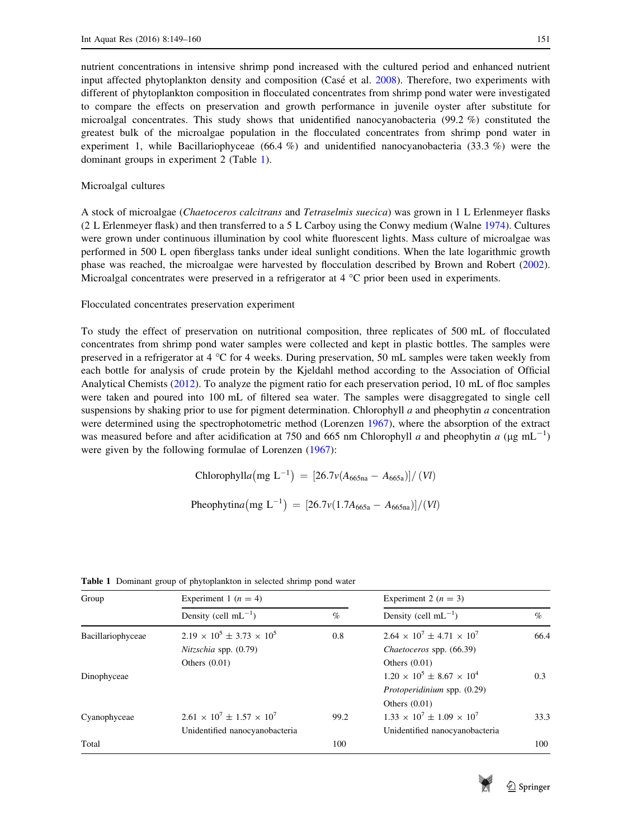nutrient concentrations in intensive shrimp pond increased with the cultured period and enhanced nutrient input affected phytoplankton density and composition (Casé et al.  $2008$ ). Therefore, two experiments with different of phytoplankton composition in flocculated concentrates from shrimp pond water were investigated to compare the effects on preservation and growth performance in juvenile oyster after substitute for microalgal concentrates. This study shows that unidentified nanocyanobacteria (99.2 %) constituted the greatest bulk of the microalgae population in the flocculated concentrates from shrimp pond water in experiment 1, while Bacillariophyceae (66.4 %) and unidentified nanocyanobacteria (33.3 %) were the dominant groups in experiment 2 (Table 1).

#### Microalgal cultures

A stock of microalgae (Chaetoceros calcitrans and Tetraselmis suecica) was grown in 1 L Erlenmeyer flasks (2 L Erlenmeyer flask) and then transferred to a 5 L Carboy using the Conwy medium (Walne [1974\)](#page-11-0). Cultures were grown under continuous illumination by cool white fluorescent lights. Mass culture of microalgae was performed in 500 L open fiberglass tanks under ideal sunlight conditions. When the late logarithmic growth phase was reached, the microalgae were harvested by flocculation described by Brown and Robert ([2002\)](#page-10-0). Microalgal concentrates were preserved in a refrigerator at  $4 °C$  prior been used in experiments.

Flocculated concentrates preservation experiment

To study the effect of preservation on nutritional composition, three replicates of 500 mL of flocculated concentrates from shrimp pond water samples were collected and kept in plastic bottles. The samples were preserved in a refrigerator at 4  $\degree$ C for 4 weeks. During preservation, 50 mL samples were taken weekly from each bottle for analysis of crude protein by the Kjeldahl method according to the Association of Official Analytical Chemists ([2012\)](#page-11-0). To analyze the pigment ratio for each preservation period, 10 mL of floc samples were taken and poured into 100 mL of filtered sea water. The samples were disaggregated to single cell suspensions by shaking prior to use for pigment determination. Chlorophyll  $a$  and pheophytin  $a$  concentration were determined using the spectrophotometric method (Lorenzen [1967](#page-11-0)), where the absorption of the extract was measured before and after acidification at 750 and 665 nm Chlorophyll a and pheophytin a ( $\mu$ g mL<sup>-1</sup>) were given by the following formulae of Lorenzen ([1967\)](#page-11-0):

Chlorophyll*a*(mg L<sup>-1</sup>) = 
$$
[26.7v(A_{665na} - A_{665a})]/(Vl)
$$

Pheophytina  $(mg L^{-1}) = [26.7v(1.7A_{665a} - A_{665na})]/(Vl)$ 

| Group             | Experiment 1 ( $n = 4$ )                |      | Experiment 2 ( $n = 3$ )                |      |  |
|-------------------|-----------------------------------------|------|-----------------------------------------|------|--|
|                   | Density (cell $mL^{-1}$ )               | $\%$ | Density (cell $mL^{-1}$ )               | $\%$ |  |
| Bacillariophyceae | $2.19 \times 10^5 \pm 3.73 \times 10^5$ | 0.8  | $2.64 \times 10^7 \pm 4.71 \times 10^7$ | 66.4 |  |
|                   | $Nitzschia$ spp. $(0.79)$               |      | Chaetoceros spp. (66.39)                |      |  |
|                   | Others $(0.01)$                         |      | Others $(0.01)$                         |      |  |
| Dinophyceae       |                                         |      | $1.20 \times 10^5 \pm 8.67 \times 10^4$ | 0.3  |  |
|                   |                                         |      | Protoperidinium spp. (0.29)             |      |  |
|                   |                                         |      | Others $(0.01)$                         |      |  |
| Cyanophyceae      | $2.61 \times 10^7 + 1.57 \times 10^7$   | 99.2 | $1.33 \times 10^7 + 1.09 \times 10^7$   | 33.3 |  |
|                   | Unidentified nanocyanobacteria          |      | Unidentified nanocyanobacteria          |      |  |
| Total             |                                         | 100  |                                         | 100  |  |

Table 1 Dominant group of phytoplankton in selected shrimp pond water

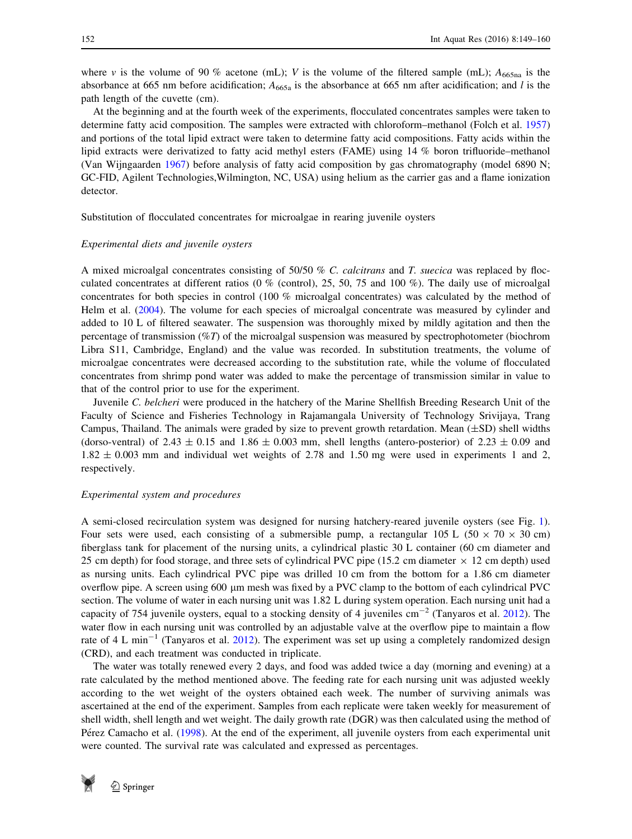where v is the volume of 90 % acetone (mL); V is the volume of the filtered sample (mL);  $A_{665na}$  is the absorbance at 665 nm before acidification;  $A_{665a}$  is the absorbance at 665 nm after acidification; and l is the path length of the cuvette (cm).

At the beginning and at the fourth week of the experiments, flocculated concentrates samples were taken to determine fatty acid composition. The samples were extracted with chloroform–methanol (Folch et al. [1957](#page-10-0)) and portions of the total lipid extract were taken to determine fatty acid compositions. Fatty acids within the lipid extracts were derivatized to fatty acid methyl esters (FAME) using 14 % boron trifluoride–methanol (Van Wijngaarden [1967](#page-11-0)) before analysis of fatty acid composition by gas chromatography (model 6890 N; GC-FID, Agilent Technologies,Wilmington, NC, USA) using helium as the carrier gas and a flame ionization detector.

Substitution of flocculated concentrates for microalgae in rearing juvenile oysters

#### Experimental diets and juvenile oysters

A mixed microalgal concentrates consisting of 50/50 % C. calcitrans and T. suecica was replaced by flocculated concentrates at different ratios (0 % (control), 25, 50, 75 and 100 %). The daily use of microalgal concentrates for both species in control (100 % microalgal concentrates) was calculated by the method of Helm et al. ([2004](#page-10-0)). The volume for each species of microalgal concentrate was measured by cylinder and added to 10 L of filtered seawater. The suspension was thoroughly mixed by mildly agitation and then the percentage of transmission  $(\%T)$  of the microalgal suspension was measured by spectrophotometer (biochrom Libra S11, Cambridge, England) and the value was recorded. In substitution treatments, the volume of microalgae concentrates were decreased according to the substitution rate, while the volume of flocculated concentrates from shrimp pond water was added to make the percentage of transmission similar in value to that of the control prior to use for the experiment.

Juvenile C. belcheri were produced in the hatchery of the Marine Shellfish Breeding Research Unit of the Faculty of Science and Fisheries Technology in Rajamangala University of Technology Srivijaya, Trang Campus, Thailand. The animals were graded by size to prevent growth retardation. Mean  $(\pm SD)$  shell widths (dorso-ventral) of 2.43  $\pm$  0.15 and 1.86  $\pm$  0.003 mm, shell lengths (antero-posterior) of 2.23  $\pm$  0.09 and  $1.82 \pm 0.003$  mm and individual wet weights of 2.78 and 1.50 mg were used in experiments 1 and 2, respectively.

#### Experimental system and procedures

A semi-closed recirculation system was designed for nursing hatchery-reared juvenile oysters (see Fig. [1\)](#page-4-0). Four sets were used, each consisting of a submersible pump, a rectangular 105 L ( $50 \times 70 \times 30$  cm) fiberglass tank for placement of the nursing units, a cylindrical plastic 30 L container (60 cm diameter and 25 cm depth) for food storage, and three sets of cylindrical PVC pipe (15.2 cm diameter  $\times$  12 cm depth) used as nursing units. Each cylindrical PVC pipe was drilled 10 cm from the bottom for a 1.86 cm diameter overflow pipe. A screen using 600 µm mesh was fixed by a PVC clamp to the bottom of each cylindrical PVC section. The volume of water in each nursing unit was 1.82 L during system operation. Each nursing unit had a capacity of 754 juvenile oysters, equal to a stocking density of 4 juveniles  $cm^{-2}$  (Tanyaros et al. [2012](#page-11-0)). The water flow in each nursing unit was controlled by an adjustable valve at the overflow pipe to maintain a flow rate of 4 L min<sup>-1</sup> (Tanyaros et al. [2012\)](#page-11-0). The experiment was set up using a completely randomized design (CRD), and each treatment was conducted in triplicate.

The water was totally renewed every 2 days, and food was added twice a day (morning and evening) at a rate calculated by the method mentioned above. The feeding rate for each nursing unit was adjusted weekly according to the wet weight of the oysters obtained each week. The number of surviving animals was ascertained at the end of the experiment. Samples from each replicate were taken weekly for measurement of shell width, shell length and wet weight. The daily growth rate (DGR) was then calculated using the method of Pérez Camacho et al. ([1998\)](#page-11-0). At the end of the experiment, all juvenile oysters from each experimental unit were counted. The survival rate was calculated and expressed as percentages.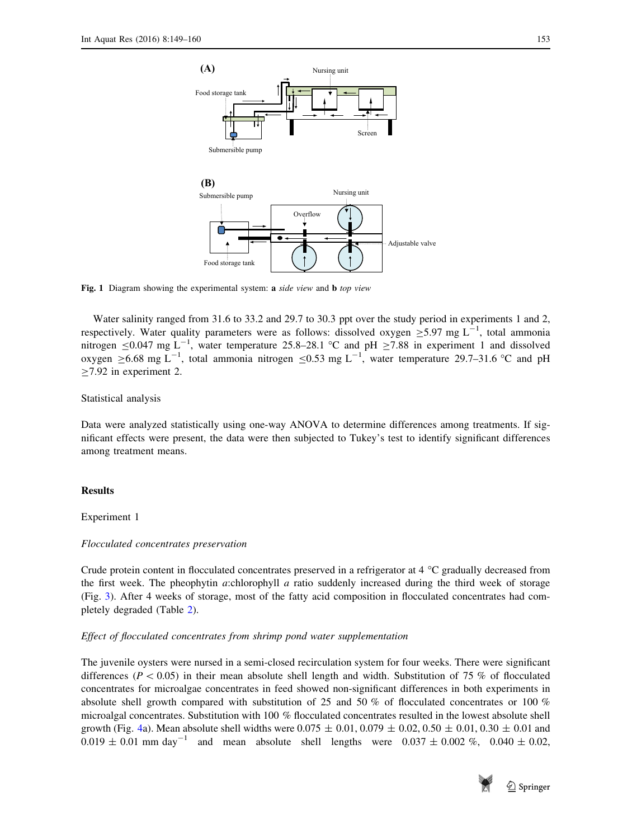<span id="page-4-0"></span>

Fig. 1 Diagram showing the experimental system: a side view and **b** top view

Water salinity ranged from 31.6 to 33.2 and 29.7 to 30.3 ppt over the study period in experiments 1 and 2, respectively. Water quality parameters were as follows: dissolved oxygen  $\geq$ 5.97 mg L<sup>-1</sup>, total ammonia nitrogen  $\leq$ 0.047 mg L<sup>-1</sup>, water temperature 25.8–28.1 °C and pH  $\geq$ 7.88 in experiment 1 and dissolved oxygen  $\geq$ 6.68 mg L<sup>-1</sup>, total ammonia nitrogen  $\leq$ 0.53 mg L<sup>-1</sup>, water temperature 29.7–31.6 °C and pH  $>7.92$  in experiment 2.

#### Statistical analysis

Data were analyzed statistically using one-way ANOVA to determine differences among treatments. If significant effects were present, the data were then subjected to Tukey's test to identify significant differences among treatment means.

#### Results

## Experiment 1

#### Flocculated concentrates preservation

Crude protein content in flocculated concentrates preserved in a refrigerator at 4 °C gradually decreased from the first week. The pheophytin a:chlorophyll a ratio suddenly increased during the third week of storage (Fig. [3\)](#page-6-0). After 4 weeks of storage, most of the fatty acid composition in flocculated concentrates had completely degraded (Table [2\)](#page-5-0).

#### Effect of flocculated concentrates from shrimp pond water supplementation

The juvenile oysters were nursed in a semi-closed recirculation system for four weeks. There were significant differences ( $P < 0.05$ ) in their mean absolute shell length and width. Substitution of 75 % of flocculated concentrates for microalgae concentrates in feed showed non-significant differences in both experiments in absolute shell growth compared with substitution of 25 and 50 % of flocculated concentrates or 100 % microalgal concentrates. Substitution with 100 % flocculated concentrates resulted in the lowest absolute shell growth (Fig. [4a](#page-7-0)). Mean absolute shell widths were  $0.075 \pm 0.01$ ,  $0.079 \pm 0.02$ ,  $0.50 \pm 0.01$ ,  $0.30 \pm 0.01$  and  $0.019 \pm 0.01$  mm day<sup>-1</sup> and mean absolute shell lengths were  $0.037 \pm 0.002$  %,  $0.040 \pm 0.02$ ,

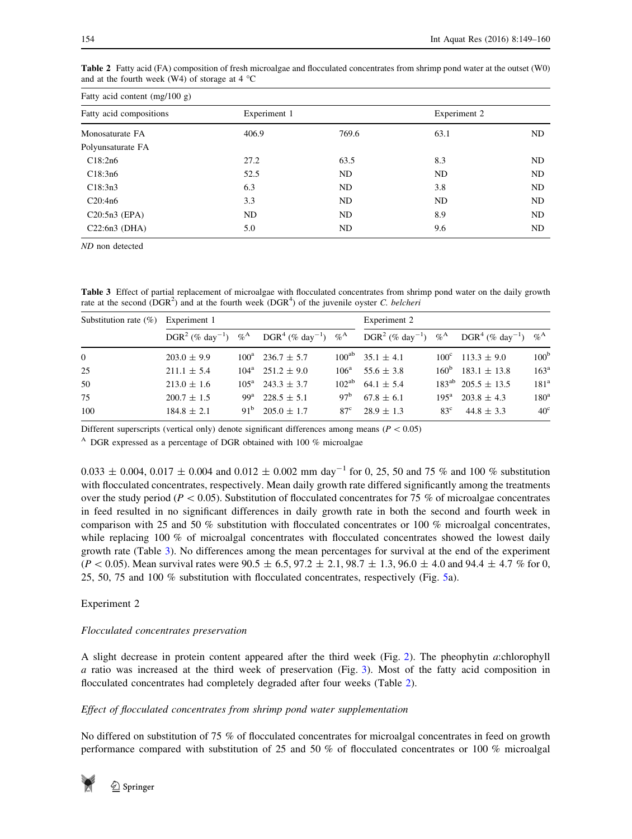| Fatty acid content $(mg/100 g)$ |              |       |              |    |  |  |  |
|---------------------------------|--------------|-------|--------------|----|--|--|--|
| Fatty acid compositions         | Experiment 1 |       | Experiment 2 |    |  |  |  |
| Monosaturate FA                 | 406.9        | 769.6 | 63.1         | ND |  |  |  |
| Polyunsaturate FA               |              |       |              |    |  |  |  |
| C18:2n6                         | 27.2         | 63.5  | 8.3          | ND |  |  |  |
| C18:3n6                         | 52.5         | ND.   | ND           | ND |  |  |  |
| C18:3n3                         | 6.3          | ND    | 3.8          | ND |  |  |  |
| C20:4n6                         | 3.3          | ND    | ND           | ND |  |  |  |
| $C20:5n3$ (EPA)                 | ND.          | ND    | 8.9          | ND |  |  |  |
| $C22:6n3$ (DHA)                 | 5.0          | ND    | 9.6          | ND |  |  |  |

<span id="page-5-0"></span>Table 2 Fatty acid (FA) composition of fresh microalgae and flocculated concentrates from shrimp pond water at the outset (W0) and at the fourth week (W4) of storage at  $4^{\circ}$ C

ND non detected

Table 3 Effect of partial replacement of microalgae with flocculated concentrates from shrimp pond water on the daily growth rate at the second  $(DGR^2)$  and at the fourth week  $(DGR^4)$  of the juvenile oyster C. belcheri

| Substitution rate $(\%)$ Experiment 1 |                 |  |                                                                                             |                 | Experiment 2                                                                                |                 |                               |                  |
|---------------------------------------|-----------------|--|---------------------------------------------------------------------------------------------|-----------------|---------------------------------------------------------------------------------------------|-----------------|-------------------------------|------------------|
|                                       |                 |  | $DGR^2$ (% day <sup>-1</sup> ) % <sup>A</sup> $DGR^4$ (% day <sup>-1</sup> ) % <sup>A</sup> |                 | $DGR^2$ (% day <sup>-1</sup> ) % <sup>A</sup> $DGR^4$ (% day <sup>-1</sup> ) % <sup>A</sup> |                 |                               |                  |
| $\Omega$                              | $203.0 \pm 9.9$ |  | $100^a$ 236.7 $\pm$ 5.7                                                                     |                 | $100^{ab}$ 35.1 $\pm$ 4.1                                                                   |                 | $100^{\circ}$ 113.3 $\pm$ 9.0 | 100 <sup>b</sup> |
| 25                                    | $211.1 \pm 5.4$ |  | $104^a$ 251.2 $\pm$ 9.0                                                                     |                 | $106^a$ 55.6 $\pm$ 3.8                                                                      |                 | $160^b$ 183.1 $\pm$ 13.8      | 163 <sup>a</sup> |
| 50                                    | $213.0 \pm 1.6$ |  | $105^a$ 243.3 $\pm$ 3.7                                                                     |                 | $102^{ab}$ 64.1 $\pm$ 5.4                                                                   |                 | $183^{ab}$ 205.5 $\pm$ 13.5   | 181 <sup>a</sup> |
| 75                                    | $200.7 \pm 1.5$ |  | $99^a$ 228.5 $\pm$ 5.1                                                                      | 97 <sup>b</sup> | $67.8 \pm 6.1$                                                                              |                 | $195^a$ 203.8 $\pm$ 4.3       | 180 <sup>a</sup> |
| 100                                   | $184.8 \pm 2.1$ |  | $91^b$ 205.0 $\pm$ 1.7                                                                      | 87 <sup>c</sup> | $28.9 \pm 1.3$                                                                              | 83 <sup>c</sup> | $44.8 \pm 3.3$                | $40^\circ$       |

Different superscripts (vertical only) denote significant differences among means ( $P < 0.05$ )

<sup>A</sup> DGR expressed as a percentage of DGR obtained with 100  $%$  microalgae

 $0.033 \pm 0.004$ ,  $0.017 \pm 0.004$  and  $0.012 \pm 0.002$  mm day<sup>-1</sup> for 0, 25, 50 and 75 % and 100 % substitution with flocculated concentrates, respectively. Mean daily growth rate differed significantly among the treatments over the study period ( $P < 0.05$ ). Substitution of flocculated concentrates for 75 % of microalgae concentrates in feed resulted in no significant differences in daily growth rate in both the second and fourth week in comparison with 25 and 50 % substitution with flocculated concentrates or 100 % microalgal concentrates, while replacing 100 % of microalgal concentrates with flocculated concentrates showed the lowest daily growth rate (Table 3). No differences among the mean percentages for survival at the end of the experiment  $(P < 0.05)$ . Mean survival rates were  $90.5 \pm 6.5$ ,  $97.2 \pm 2.1$ ,  $98.7 \pm 1.3$ ,  $96.0 \pm 4.0$  and  $94.4 \pm 4.7$  % for 0, 25, 50, 75 and 100 % substitution with flocculated concentrates, respectively (Fig. [5a](#page-8-0)).

# Experiment 2

## Flocculated concentrates preservation

A slight decrease in protein content appeared after the third week (Fig. [2\)](#page-6-0). The pheophytin a:chlorophyll a ratio was increased at the third week of preservation (Fig. [3\)](#page-6-0). Most of the fatty acid composition in flocculated concentrates had completely degraded after four weeks (Table 2).

# Effect of flocculated concentrates from shrimp pond water supplementation

No differed on substitution of 75 % of flocculated concentrates for microalgal concentrates in feed on growth performance compared with substitution of 25 and 50 % of flocculated concentrates or 100 % microalgal

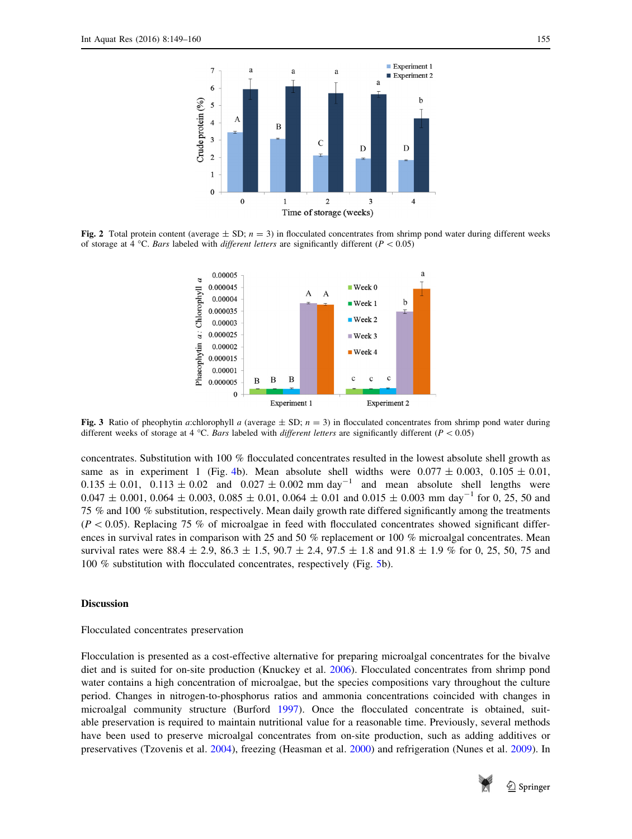<span id="page-6-0"></span>

Fig. 2 Total protein content (average  $\pm$  SD;  $n = 3$ ) in flocculated concentrates from shrimp pond water during different weeks of storage at 4 °C. Bars labeled with different letters are significantly different ( $P < 0.05$ )



Fig. 3 Ratio of pheophytin a:chlorophyll a (average  $\pm$  SD;  $n = 3$ ) in flocculated concentrates from shrimp pond water during different weeks of storage at 4 °C. Bars labeled with different letters are significantly different ( $P < 0.05$ )

concentrates. Substitution with 100 % flocculated concentrates resulted in the lowest absolute shell growth as same as in experiment 1 (Fig. [4](#page-7-0)b). Mean absolute shell widths were  $0.077 \pm 0.003$ ,  $0.105 \pm 0.01$ ,  $0.135 \pm 0.01$ ,  $0.113 \pm 0.02$  and  $0.027 \pm 0.002$  mm day<sup>-1</sup> and mean absolute shell lengths were  $0.047 \pm 0.001$ ,  $0.064 \pm 0.003$ ,  $0.085 \pm 0.01$ ,  $0.064 \pm 0.01$  and  $0.015 \pm 0.003$  mm day<sup>-1</sup> for 0, 25, 50 and 75 % and 100 % substitution, respectively. Mean daily growth rate differed significantly among the treatments  $(P<0.05)$ . Replacing 75 % of microalgae in feed with flocculated concentrates showed significant differences in survival rates in comparison with 25 and 50 % replacement or 100 % microalgal concentrates. Mean survival rates were  $88.4 \pm 2.9$ ,  $86.3 \pm 1.5$ ,  $90.7 \pm 2.4$ ,  $97.5 \pm 1.8$  and  $91.8 \pm 1.9$  % for 0, 25, 50, 75 and 100 % substitution with flocculated concentrates, respectively (Fig. [5b](#page-8-0)).

#### Discussion

#### Flocculated concentrates preservation

Flocculation is presented as a cost-effective alternative for preparing microalgal concentrates for the bivalve diet and is suited for on-site production (Knuckey et al. [2006\)](#page-10-0). Flocculated concentrates from shrimp pond water contains a high concentration of microalgae, but the species compositions vary throughout the culture period. Changes in nitrogen-to-phosphorus ratios and ammonia concentrations coincided with changes in microalgal community structure (Burford [1997\)](#page-10-0). Once the flocculated concentrate is obtained, suitable preservation is required to maintain nutritional value for a reasonable time. Previously, several methods have been used to preserve microalgal concentrates from on-site production, such as adding additives or preservatives (Tzovenis et al. [2004](#page-11-0)), freezing (Heasman et al. [2000\)](#page-10-0) and refrigeration (Nunes et al. [2009\)](#page-11-0). In

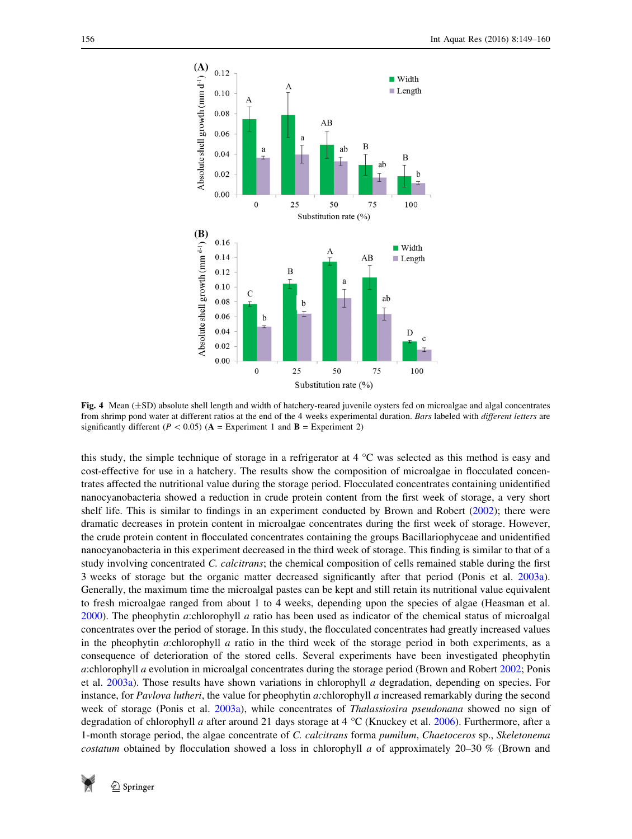<span id="page-7-0"></span>

Fig. 4 Mean  $(\pm SD)$  absolute shell length and width of hatchery-reared juvenile oysters fed on microalgae and algal concentrates from shrimp pond water at different ratios at the end of the 4 weeks experimental duration. Bars labeled with different letters are significantly different ( $P < 0.05$ ) ( $A =$  Experiment 1 and  $B =$  Experiment 2)

this study, the simple technique of storage in a refrigerator at  $4^{\circ}$ C was selected as this method is easy and cost-effective for use in a hatchery. The results show the composition of microalgae in flocculated concentrates affected the nutritional value during the storage period. Flocculated concentrates containing unidentified nanocyanobacteria showed a reduction in crude protein content from the first week of storage, a very short shelf life. This is similar to findings in an experiment conducted by Brown and Robert ([2002\)](#page-10-0); there were dramatic decreases in protein content in microalgae concentrates during the first week of storage. However, the crude protein content in flocculated concentrates containing the groups Bacillariophyceae and unidentified nanocyanobacteria in this experiment decreased in the third week of storage. This finding is similar to that of a study involving concentrated C. calcitrans; the chemical composition of cells remained stable during the first 3 weeks of storage but the organic matter decreased significantly after that period (Ponis et al. [2003a\)](#page-11-0). Generally, the maximum time the microalgal pastes can be kept and still retain its nutritional value equivalent to fresh microalgae ranged from about 1 to 4 weeks, depending upon the species of algae (Heasman et al. [2000](#page-10-0)). The pheophytin a:chlorophyll a ratio has been used as indicator of the chemical status of microalgal concentrates over the period of storage. In this study, the flocculated concentrates had greatly increased values in the pheophytin *a*:chlorophyll *a* ratio in the third week of the storage period in both experiments, as a consequence of deterioration of the stored cells. Several experiments have been investigated pheophytin a:chlorophyll a evolution in microalgal concentrates during the storage period (Brown and Robert [2002](#page-10-0); Ponis et al. [2003a](#page-11-0)). Those results have shown variations in chlorophyll a degradation, depending on species. For instance, for Pavlova lutheri, the value for pheophytin a:chlorophyll a increased remarkably during the second week of storage (Ponis et al. [2003a\)](#page-11-0), while concentrates of Thalassiosira pseudonana showed no sign of degradation of chlorophyll a after around 21 days storage at 4 °C (Knuckey et al. [2006](#page-10-0)). Furthermore, after a 1-month storage period, the algae concentrate of C. calcitrans forma pumilum, Chaetoceros sp., Skeletonema costatum obtained by flocculation showed a loss in chlorophyll a of approximately 20–30 % (Brown and

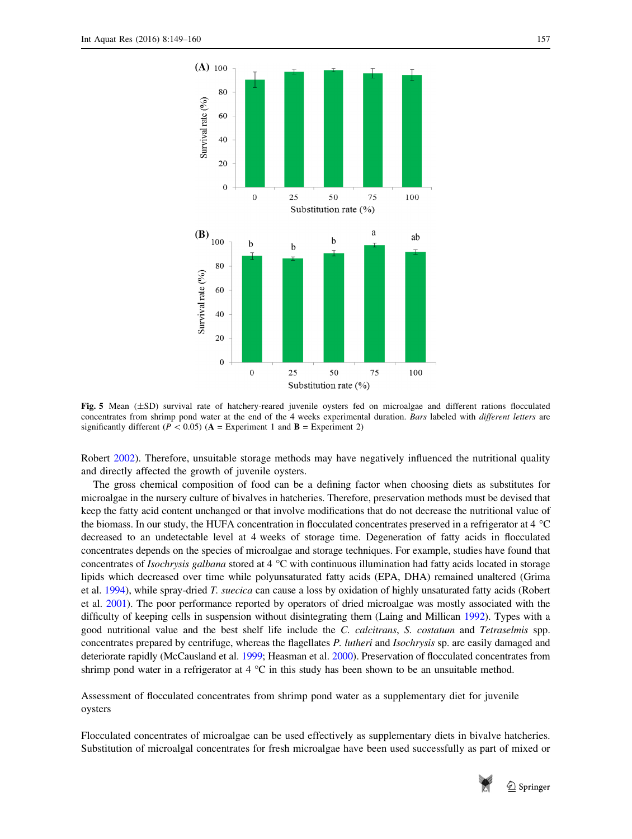<span id="page-8-0"></span>

Fig. 5 Mean ( $\pm$ SD) survival rate of hatchery-reared juvenile oysters fed on microalgae and different rations flocculated concentrates from shrimp pond water at the end of the 4 weeks experimental duration. Bars labeled with different letters are significantly different ( $P < 0.05$ ) ( $A =$  Experiment 1 and  $B =$  Experiment 2)

Robert [2002](#page-10-0)). Therefore, unsuitable storage methods may have negatively influenced the nutritional quality and directly affected the growth of juvenile oysters.

The gross chemical composition of food can be a defining factor when choosing diets as substitutes for microalgae in the nursery culture of bivalves in hatcheries. Therefore, preservation methods must be devised that keep the fatty acid content unchanged or that involve modifications that do not decrease the nutritional value of the biomass. In our study, the HUFA concentration in flocculated concentrates preserved in a refrigerator at  $4^{\circ}$ C decreased to an undetectable level at 4 weeks of storage time. Degeneration of fatty acids in flocculated concentrates depends on the species of microalgae and storage techniques. For example, studies have found that concentrates of *Isochrysis galbana* stored at  $4^{\circ}$ C with continuous illumination had fatty acids located in storage lipids which decreased over time while polyunsaturated fatty acids (EPA, DHA) remained unaltered (Grima et al. [1994](#page-10-0)), while spray-dried T. suecica can cause a loss by oxidation of highly unsaturated fatty acids (Robert et al. [2001\)](#page-11-0). The poor performance reported by operators of dried microalgae was mostly associated with the difficulty of keeping cells in suspension without disintegrating them (Laing and Millican [1992](#page-10-0)). Types with a good nutritional value and the best shelf life include the C. calcitrans, S. costatum and Tetraselmis spp. concentrates prepared by centrifuge, whereas the flagellates P. lutheri and Isochrysis sp. are easily damaged and deteriorate rapidly (McCausland et al. [1999](#page-11-0); Heasman et al. [2000\)](#page-10-0). Preservation of flocculated concentrates from shrimp pond water in a refrigerator at 4  $\degree$ C in this study has been shown to be an unsuitable method.

Assessment of flocculated concentrates from shrimp pond water as a supplementary diet for juvenile oysters

Flocculated concentrates of microalgae can be used effectively as supplementary diets in bivalve hatcheries. Substitution of microalgal concentrates for fresh microalgae have been used successfully as part of mixed or



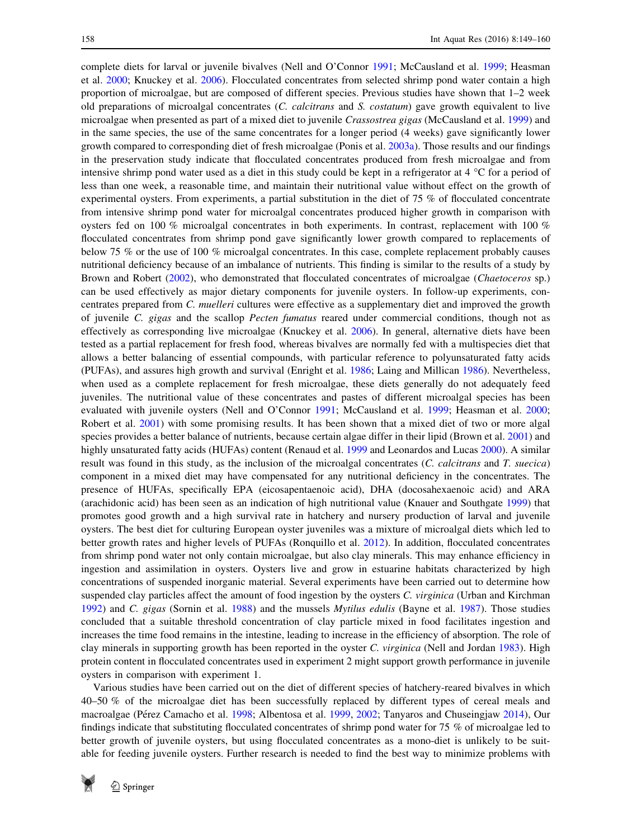complete diets for larval or juvenile bivalves (Nell and O'Connor [1991;](#page-11-0) McCausland et al. [1999](#page-11-0); Heasman et al. [2000](#page-10-0); Knuckey et al. [2006](#page-10-0)). Flocculated concentrates from selected shrimp pond water contain a high proportion of microalgae, but are composed of different species. Previous studies have shown that 1–2 week old preparations of microalgal concentrates (C. calcitrans and S. costatum) gave growth equivalent to live microalgae when presented as part of a mixed diet to juvenile Crassostrea gigas (McCausland et al. [1999\)](#page-11-0) and in the same species, the use of the same concentrates for a longer period (4 weeks) gave significantly lower growth compared to corresponding diet of fresh microalgae (Ponis et al. [2003a\)](#page-11-0). Those results and our findings in the preservation study indicate that flocculated concentrates produced from fresh microalgae and from intensive shrimp pond water used as a diet in this study could be kept in a refrigerator at  $4^{\circ}$ C for a period of less than one week, a reasonable time, and maintain their nutritional value without effect on the growth of experimental oysters. From experiments, a partial substitution in the diet of 75 % of flocculated concentrate from intensive shrimp pond water for microalgal concentrates produced higher growth in comparison with oysters fed on 100 % microalgal concentrates in both experiments. In contrast, replacement with 100 % flocculated concentrates from shrimp pond gave significantly lower growth compared to replacements of below 75 % or the use of 100 % microalgal concentrates. In this case, complete replacement probably causes nutritional deficiency because of an imbalance of nutrients. This finding is similar to the results of a study by Brown and Robert [\(2002](#page-10-0)), who demonstrated that flocculated concentrates of microalgae (Chaetoceros sp.) can be used effectively as major dietary components for juvenile oysters. In follow-up experiments, concentrates prepared from C. muelleri cultures were effective as a supplementary diet and improved the growth of juvenile C. gigas and the scallop Pecten fumatus reared under commercial conditions, though not as effectively as corresponding live microalgae (Knuckey et al. [2006\)](#page-10-0). In general, alternative diets have been tested as a partial replacement for fresh food, whereas bivalves are normally fed with a multispecies diet that allows a better balancing of essential compounds, with particular reference to polyunsaturated fatty acids (PUFAs), and assures high growth and survival (Enright et al. [1986;](#page-10-0) Laing and Millican [1986\)](#page-10-0). Nevertheless, when used as a complete replacement for fresh microalgae, these diets generally do not adequately feed juveniles. The nutritional value of these concentrates and pastes of different microalgal species has been evaluated with juvenile oysters (Nell and O'Connor [1991;](#page-11-0) McCausland et al. [1999;](#page-11-0) Heasman et al. [2000;](#page-10-0) Robert et al. [2001](#page-11-0)) with some promising results. It has been shown that a mixed diet of two or more algal species provides a better balance of nutrients, because certain algae differ in their lipid (Brown et al. [2001\)](#page-10-0) and highly unsaturated fatty acids (HUFAs) content (Renaud et al. [1999](#page-11-0) and Leonardos and Lucas [2000](#page-10-0)). A similar result was found in this study, as the inclusion of the microalgal concentrates (C. calcitrans and T. suecica) component in a mixed diet may have compensated for any nutritional deficiency in the concentrates. The presence of HUFAs, specifically EPA (eicosapentaenoic acid), DHA (docosahexaenoic acid) and ARA (arachidonic acid) has been seen as an indication of high nutritional value (Knauer and Southgate [1999](#page-10-0)) that promotes good growth and a high survival rate in hatchery and nursery production of larval and juvenile oysters. The best diet for culturing European oyster juveniles was a mixture of microalgal diets which led to better growth rates and higher levels of PUFAs (Ronquillo et al. [2012\)](#page-11-0). In addition, flocculated concentrates from shrimp pond water not only contain microalgae, but also clay minerals. This may enhance efficiency in ingestion and assimilation in oysters. Oysters live and grow in estuarine habitats characterized by high concentrations of suspended inorganic material. Several experiments have been carried out to determine how suspended clay particles affect the amount of food ingestion by the oysters C. virginica (Urban and Kirchman [1992](#page-11-0)) and C. gigas (Sornin et al. [1988](#page-11-0)) and the mussels Mytilus edulis (Bayne et al. [1987](#page-10-0)). Those studies concluded that a suitable threshold concentration of clay particle mixed in food facilitates ingestion and increases the time food remains in the intestine, leading to increase in the efficiency of absorption. The role of clay minerals in supporting growth has been reported in the oyster C. virginica (Nell and Jordan [1983](#page-11-0)). High protein content in flocculated concentrates used in experiment 2 might support growth performance in juvenile oysters in comparison with experiment 1.

Various studies have been carried out on the diet of different species of hatchery-reared bivalves in which 40–50 % of the microalgae diet has been successfully replaced by different types of cereal meals and macroalgae (Pérez Camacho et al. [1998](#page-11-0); Albentosa et al. [1999](#page-10-0), [2002;](#page-10-0) Tanyaros and Chuseingjaw [2014](#page-11-0)), Our findings indicate that substituting flocculated concentrates of shrimp pond water for 75 % of microalgae led to better growth of juvenile oysters, but using flocculated concentrates as a mono-diet is unlikely to be suitable for feeding juvenile oysters. Further research is needed to find the best way to minimize problems with

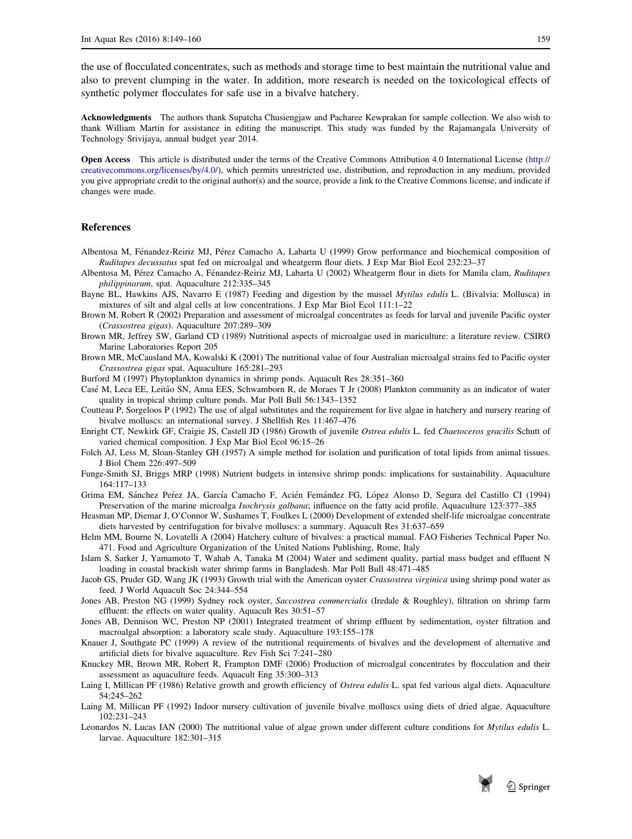<span id="page-10-0"></span>the use of flocculated concentrates, such as methods and storage time to best maintain the nutritional value and also to prevent clumping in the water. In addition, more research is needed on the toxicological effects of synthetic polymer flocculates for safe use in a bivalve hatchery.

Acknowledgments The authors thank Supatcha Chusiengjaw and Pacharee Kewprakan for sample collection. We also wish to thank William Martin for assistance in editing the manuscript. This study was funded by the Rajamangala University of Technology Srivijaya, annual budget year 2014.

Open Access This article is distributed under the terms of the Creative Commons Attribution 4.0 International License [\(http://](http://creativecommons.org/licenses/by/4.0/) [creativecommons.org/licenses/by/4.0/](http://creativecommons.org/licenses/by/4.0/)), which permits unrestricted use, distribution, and reproduction in any medium, provided you give appropriate credit to the original author(s) and the source, provide a link to the Creative Commons license, and indicate if changes were made.

#### References

- Albentosa M, Fénandez-Reiriz MJ, Pérez Camacho A, Labarta U (1999) Grow performance and biochemical composition of Ruditapes decussatus spat fed on microalgal and wheatgerm flour diets. J Exp Mar Biol Ecol 232:23–37
- Albentosa M, Pérez Camacho A, Fénandez-Reiriz MJ, Labarta U (2002) Wheatgerm flour in diets for Manila clam, Ruditapes philippinarum, spat. Aquaculture 212:335–345
- Bayne BL, Hawkins AJS, Navarro E (1987) Feeding and digestion by the mussel Mytilus edulis L. (Bivalvia: Mollusca) in mixtures of silt and algal cells at low concentrations. J Exp Mar Biol Ecol 111:1–22
- Brown M, Robert R (2002) Preparation and assessment of microalgal concentrates as feeds for larval and juvenile Pacific oyster (Crassostrea gigas). Aquaculture 207:289–309
- Brown MR, Jeffrey SW, Garland CD (1989) Nutritional aspects of microalgae used in mariculture: a literature review. CSIRO Marine Laboratories Report 205
- Brown MR, McCausland MA, Kowalski K (2001) The nutritional value of four Australian microalgal strains fed to Pacific oyster Crassostrea gigas spat. Aquaculture 165:281–293
- Burford M (1997) Phytoplankton dynamics in shrimp ponds. Aquacult Res 28:351–360
- Case´ M, Leca EE, Leita˜o SN, Anna EES, Schwamborn R, de Moraes T Jr (2008) Plankton community as an indicator of water quality in tropical shrimp culture ponds. Mar Poll Bull 56:1343–1352
- Coutteau P, Sorgeloos P (1992) The use of algal substitutes and the requirement for live algae in hatchery and nursery rearing of bivalve molluscs: an international survey. J Shellfish Res 11:467–476
- Enright CT, Newkirk GF, Craigie JS, Castell JD (1986) Growth of juvenile Ostrea edulis L. fed Chaetoceros gracilis Schutt of varied chemical composition. J Exp Mar Biol Ecol 96:15–26
- Folch AJ, Less M, Sloan-Stanley GH (1957) A simple method for isolation and purification of total lipids from animal tissues. J Biol Chem 226:497–509
- Funge-Smith SJ, Briggs MRP (1998) Nutrient budgets in intensive shrimp ponds: implications for sustainability. Aquaculture 164:117–133
- Grima EM, Sánchez Peréz JA, García Camacho F, Acién Femández FG, López Alonso D, Segura del Castillo CI (1994) Preservation of the marine microalga Isochrysis galbana; influence on the fatty acid profile. Aquaculture 123:377–385
- Heasman MP, Diemar J, O'Connor W, Sushames T, Foulkes L (2000) Development of extended shelf-life microalgae concentrate diets harvested by centrifugation for bivalve molluscs: a summary. Aquacult Res 31:637–659
- Helm MM, Bourne N, Lovatelli A (2004) Hatchery culture of bivalves: a practical manual. FAO Fisheries Technical Paper No. 471. Food and Agriculture Organization of the United Nations Publishing, Rome, Italy
- Islam S, Sarker J, Yamamoto T, Wahab A, Tanaka M (2004) Water and sediment quality, partial mass budget and effluent N loading in coastal brackish water shrimp farms in Bangladesh. Mar Poll Bull 48:471–485
- Jacob GS, Pruder GD, Wang JK (1993) Growth trial with the American oyster Crassostrea virginica using shrimp pond water as feed. J World Aquacult Soc 24:344–554
- Jones AB, Preston NG (1999) Sydney rock oyster, Saccostrea commercialis (Iredale & Roughley), filtration on shrimp farm effluent: the effects on water quality. Aquacult Res 30:51–57
- Jones AB, Dennison WC, Preston NP (2001) Integrated treatment of shrimp effluent by sedimentation, oyster filtration and macroalgal absorption: a laboratory scale study. Aquaculture 193:155–178
- Knauer J, Southgate PC (1999) A review of the nutritional requirements of bivalves and the development of alternative and artificial diets for bivalve aquaculture. Rev Fish Sci 7:241–280
- Knuckey MR, Brown MR, Robert R, Frampton DMF (2006) Production of microalgal concentrates by flocculation and their assessment as aquaculture feeds. Aquacult Eng 35:300–313
- Laing I, Millican PF (1986) Relative growth and growth efficiency of Ostrea edulis L. spat fed various algal diets. Aquaculture 54:245–262
- Laing M, Millican PF (1992) Indoor nursery cultivation of juvenile bivalve molluscs using diets of dried algae. Aquaculture 102:231–243
- Leonardos N, Lucas IAN (2000) The nutritional value of algae grown under different culture conditions for Mytilus edulis L. larvae. Aquaculture 182:301–315